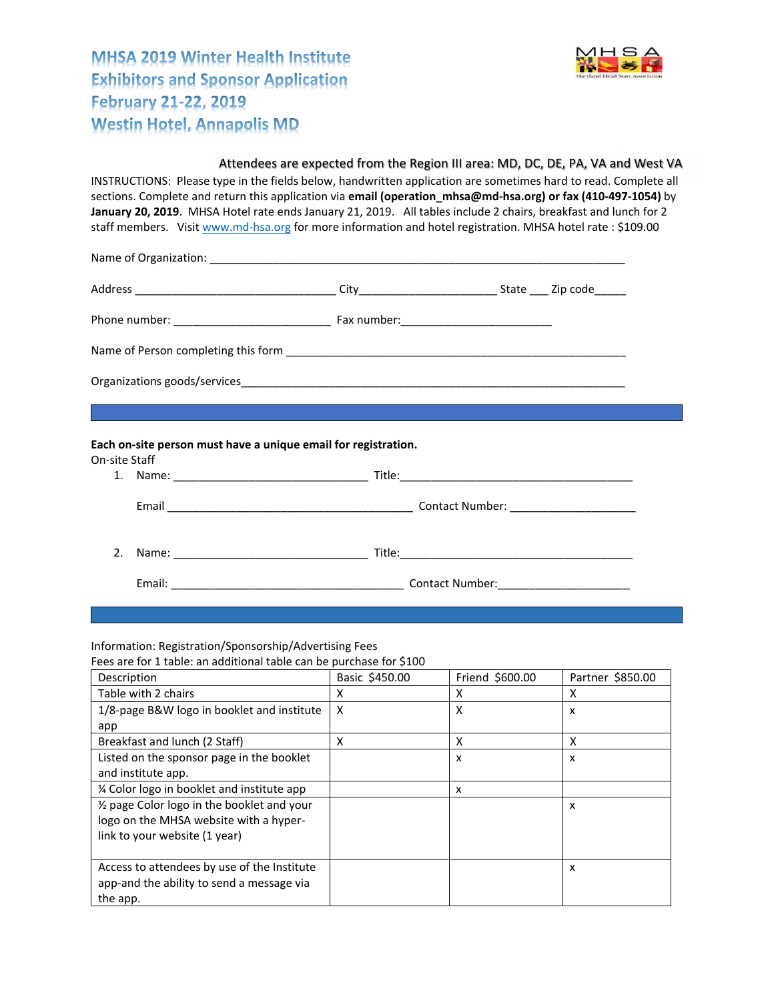**MHSA 2019 Winter Health Institute Exhibitors and Sponsor Application February 21-22, 2019 Westin Hotel, Annapolis MD** 



## Attendees are expected from the Region III area: MD, DC, DE, PA, VA and West VA INSTRUCTIONS: Please type in the fields below, handwritten application are sometimes hard to read. Complete all sections. Complete and return this application via **email (operation\_mhsa@md‐hsa.org) or fax (410‐497‐1054)** by **January 20, 2019**. MHSA Hotel rate ends January 21, 2019. All tables include 2 chairs, breakfast and lunch for 2 staff members. Visit www.md-hsa.org for more information and hotel registration. MHSA hotel rate : \$109.00 Name of Organization: \_\_\_\_\_\_\_\_\_\_\_\_\_\_\_\_\_\_\_\_\_\_\_\_\_\_\_\_\_\_\_\_\_\_\_\_\_\_\_\_\_\_\_\_\_\_\_\_\_\_\_\_\_\_\_\_\_\_\_\_\_\_\_\_\_\_ Address \_\_\_\_\_\_\_\_\_\_\_\_\_\_\_\_\_\_\_\_\_\_\_\_\_\_\_\_\_\_\_\_ City\_\_\_\_\_\_\_\_\_\_\_\_\_\_\_\_\_\_\_\_\_\_ State \_\_\_ Zip code\_\_\_\_\_ Phone number: \_\_\_\_\_\_\_\_\_\_\_\_\_\_\_\_\_\_\_\_\_\_\_\_\_ Fax number:\_\_\_\_\_\_\_\_\_\_\_\_\_\_\_\_\_\_\_\_\_\_\_\_ Name of Person completing this form \_\_\_\_\_\_\_\_\_\_\_\_\_\_\_\_\_\_\_\_\_\_\_\_\_\_\_\_\_\_\_\_\_\_\_\_\_\_\_\_\_\_\_\_\_\_\_\_\_\_\_\_\_\_ Organizations goods/services **Each on‐site person must have a unique email for registration.**  On‐site Staff 1. Name: \_\_\_\_\_\_\_\_\_\_\_\_\_\_\_\_\_\_\_\_\_\_\_\_\_\_\_\_\_\_\_ Title:\_\_\_\_\_\_\_\_\_\_\_\_\_\_\_\_\_\_\_\_\_\_\_\_\_\_\_\_\_\_\_\_\_\_\_\_\_ Email **Email Email Email Contact Number:**  $\blacksquare$ 2. Name: \_\_\_\_\_\_\_\_\_\_\_\_\_\_\_\_\_\_\_\_\_\_\_\_\_\_\_\_\_\_\_ Title:\_\_\_\_\_\_\_\_\_\_\_\_\_\_\_\_\_\_\_\_\_\_\_\_\_\_\_\_\_\_\_\_\_\_\_\_\_ Email: \_\_\_\_\_\_\_\_\_\_\_\_\_\_\_\_\_\_\_\_\_\_\_\_\_\_\_\_\_\_\_\_\_\_\_\_\_ Contact Number:\_\_\_\_\_\_\_\_\_\_\_\_\_\_\_\_\_\_\_\_\_

Information: Registration/Sponsorship/Advertising Fees

Fees are for 1 table: an additional table can be purchase for \$100

| Description                                 | Basic \$450.00 | Friend \$600.00 | Partner \$850.00 |
|---------------------------------------------|----------------|-----------------|------------------|
| Table with 2 chairs                         | x              | x               | x                |
| 1/8-page B&W logo in booklet and institute  | X              | х               | x                |
| app                                         |                |                 |                  |
| Breakfast and lunch (2 Staff)               | x              | X               | X                |
| Listed on the sponsor page in the booklet   |                | x               | x                |
| and institute app.                          |                |                 |                  |
| % Color logo in booklet and institute app   |                | x               |                  |
| 1/2 page Color logo in the booklet and your |                |                 | x                |
| logo on the MHSA website with a hyper-      |                |                 |                  |
| link to your website (1 year)               |                |                 |                  |
|                                             |                |                 |                  |
| Access to attendees by use of the Institute |                |                 | x                |
| app-and the ability to send a message via   |                |                 |                  |
| the app.                                    |                |                 |                  |